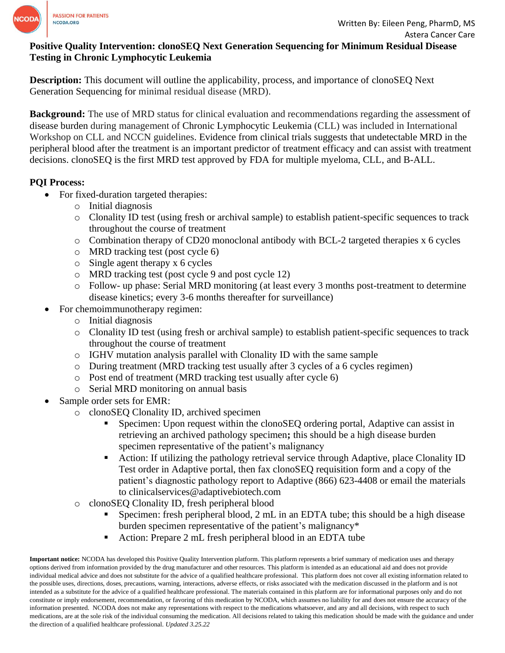

# **Positive Quality Intervention: clonoSEQ Next Generation Sequencing for Minimum Residual Disease Testing in Chronic Lymphocytic Leukemia**

**Description:** This document will outline the applicability, process, and importance of clonoSEQ Next Generation Sequencing for minimal residual disease (MRD).

**Background:** The use of MRD status for clinical evaluation and recommendations regarding the assessment of disease burden during management of Chronic Lymphocytic Leukemia (CLL) was included in International Workshop on CLL and NCCN guidelines. Evidence from clinical trials suggests that undetectable MRD in the peripheral blood after the treatment is an important predictor of treatment efficacy and can assist with treatment decisions. clonoSEQ is the first MRD test approved by FDA for multiple myeloma, CLL, and B-ALL.

# **PQI Process:**

- For fixed-duration targeted therapies:
	- o Initial diagnosis
	- o Clonality ID test (using fresh or archival sample) to establish patient-specific sequences to track throughout the course of treatment
	- o Combination therapy of CD20 monoclonal antibody with BCL-2 targeted therapies x 6 cycles
	- o MRD tracking test (post cycle 6)
	- o Single agent therapy x 6 cycles
	- o MRD tracking test (post cycle 9 and post cycle 12)
	- o Follow- up phase: Serial MRD monitoring (at least every 3 months post-treatment to determine disease kinetics; every 3-6 months thereafter for surveillance)
- For chemoimmunotherapy regimen:
	- o Initial diagnosis
	- o Clonality ID test (using fresh or archival sample) to establish patient-specific sequences to track throughout the course of treatment
	- o IGHV mutation analysis parallel with Clonality ID with the same sample
	- o During treatment (MRD tracking test usually after 3 cycles of a 6 cycles regimen)
	- o Post end of treatment (MRD tracking test usually after cycle 6)
	- o Serial MRD monitoring on annual basis
- Sample order sets for EMR:
	- o clonoSEQ Clonality ID, archived specimen
		- **•** Specimen: Upon request within the clonoSEQ ordering portal, Adaptive can assist in retrieving an archived pathology specimen**;** this should be a high disease burden specimen representative of the patient's malignancy
		- Action: If utilizing the pathology retrieval service through Adaptive, place Clonality ID Test order in Adaptive portal, then fax clonoSEQ requisition form and a copy of the patient's diagnostic pathology report to Adaptive (866) 623-4408 or email the materials to clinicalservices@adaptivebiotech.com
	- o clonoSEQ Clonality ID, fresh peripheral blood
		- Specimen: fresh peripheral blood, 2 mL in an EDTA tube; this should be a high disease burden specimen representative of the patient's malignancy\*
		- Action: Prepare 2 mL fresh peripheral blood in an EDTA tube

**Important notice:** NCODA has developed this Positive Quality Intervention platform. This platform represents a brief summary of medication uses and therapy options derived from information provided by the drug manufacturer and other resources. This platform is intended as an educational aid and does not provide individual medical advice and does not substitute for the advice of a qualified healthcare professional. This platform does not cover all existing information related to the possible uses, directions, doses, precautions, warning, interactions, adverse effects, or risks associated with the medication discussed in the platform and is not intended as a substitute for the advice of a qualified healthcare professional. The materials contained in this platform are for informational purposes only and do not constitute or imply endorsement, recommendation, or favoring of this medication by NCODA, which assumes no liability for and does not ensure the accuracy of the information presented. NCODA does not make any representations with respect to the medications whatsoever, and any and all decisions, with respect to such medications, are at the sole risk of the individual consuming the medication. All decisions related to taking this medication should be made with the guidance and under the direction of a qualified healthcare professional. *Updated 3.25.22*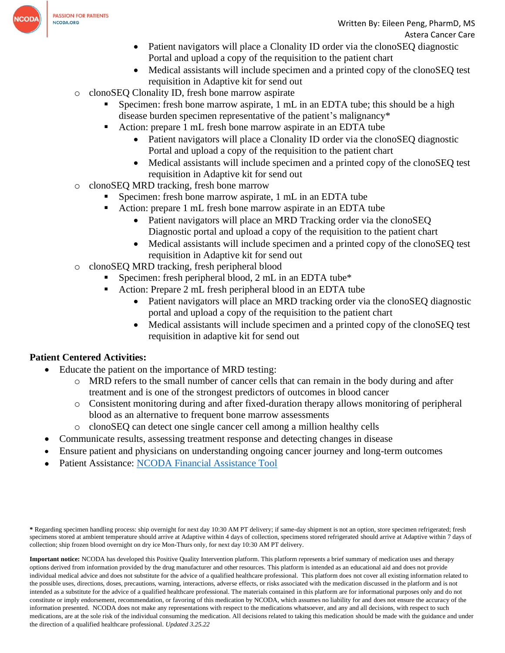

- Patient navigators will place a Clonality ID order via the clonoSEQ diagnostic Portal and upload a copy of the requisition to the patient chart
- Medical assistants will include specimen and a printed copy of the clonoSEQ test requisition in Adaptive kit for send out
- o clonoSEQ Clonality ID, fresh bone marrow aspirate
	- Specimen: fresh bone marrow aspirate, 1 mL in an EDTA tube; this should be a high disease burden specimen representative of the patient's malignancy\*
	- Action: prepare 1 mL fresh bone marrow aspirate in an EDTA tube
		- Patient navigators will place a Clonality ID order via the clonoSEO diagnostic Portal and upload a copy of the requisition to the patient chart
		- Medical assistants will include specimen and a printed copy of the clonoSEO test requisition in Adaptive kit for send out
- o clonoSEQ MRD tracking, fresh bone marrow
	- Specimen: fresh bone marrow aspirate, 1 mL in an EDTA tube
	- Action: prepare 1 mL fresh bone marrow aspirate in an EDTA tube
		- Patient navigators will place an MRD Tracking order via the clonoSEO Diagnostic portal and upload a copy of the requisition to the patient chart
		- Medical assistants will include specimen and a printed copy of the clonoSEQ test requisition in Adaptive kit for send out
- o clonoSEQ MRD tracking, fresh peripheral blood
	- Specimen: fresh peripheral blood,  $2 \text{ mL}$  in an EDTA tube\*
	- Action: Prepare 2 mL fresh peripheral blood in an EDTA tube
		- Patient navigators will place an MRD tracking order via the clonoSEQ diagnostic portal and upload a copy of the requisition to the patient chart
		- Medical assistants will include specimen and a printed copy of the clonoSEQ test requisition in adaptive kit for send out

# **Patient Centered Activities:**

- Educate the patient on the importance of MRD testing:
	- o MRD refers to the small number of cancer cells that can remain in the body during and after treatment and is one of the strongest predictors of outcomes in blood cancer
	- o Consistent monitoring during and after fixed-duration therapy allows monitoring of peripheral blood as an alternative to frequent bone marrow assessments
	- o clonoSEQ can detect one single cancer cell among a million healthy cells
	- Communicate results, assessing treatment response and detecting changes in disease
- Ensure patient and physicians on understanding ongoing cancer journey and long-term outcomes
- Patient Assistance: [NCODA Financial Assistance Tool](https://www.ncoda.org/financial-assistance/)

**\*** Regarding specimen handling process: ship overnight for next day 10:30 AM PT delivery; if same-day shipment is not an option, store specimen refrigerated; fresh specimens stored at ambient temperature should arrive at Adaptive within 4 days of collection, specimens stored refrigerated should arrive at Adaptive within 7 days of collection; ship frozen blood overnight on dry ice Mon-Thurs only, for next day 10:30 AM PT delivery.

**Important notice:** NCODA has developed this Positive Quality Intervention platform. This platform represents a brief summary of medication uses and therapy options derived from information provided by the drug manufacturer and other resources. This platform is intended as an educational aid and does not provide individual medical advice and does not substitute for the advice of a qualified healthcare professional. This platform does not cover all existing information related to the possible uses, directions, doses, precautions, warning, interactions, adverse effects, or risks associated with the medication discussed in the platform and is not intended as a substitute for the advice of a qualified healthcare professional. The materials contained in this platform are for informational purposes only and do not constitute or imply endorsement, recommendation, or favoring of this medication by NCODA, which assumes no liability for and does not ensure the accuracy of the information presented. NCODA does not make any representations with respect to the medications whatsoever, and any and all decisions, with respect to such medications, are at the sole risk of the individual consuming the medication. All decisions related to taking this medication should be made with the guidance and under the direction of a qualified healthcare professional. *Updated 3.25.22*